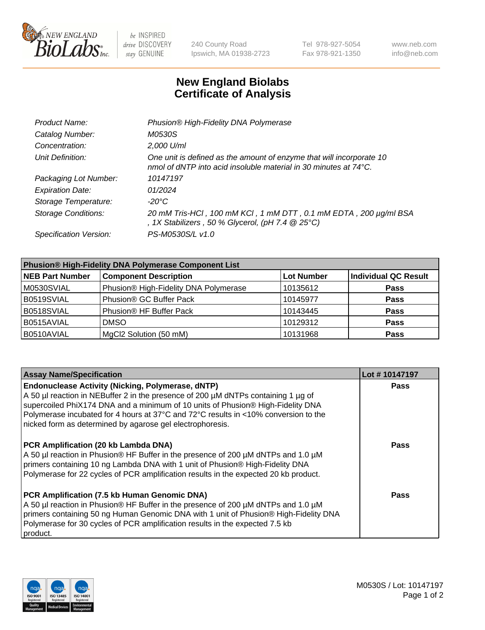

 $be$  INSPIRED drive DISCOVERY stay GENUINE

240 County Road Ipswich, MA 01938-2723 Tel 978-927-5054 Fax 978-921-1350 www.neb.com info@neb.com

## **New England Biolabs Certificate of Analysis**

| Product Name:              | Phusion® High-Fidelity DNA Polymerase                                                                                                              |
|----------------------------|----------------------------------------------------------------------------------------------------------------------------------------------------|
| Catalog Number:            | M0530S                                                                                                                                             |
| Concentration:             | 2,000 U/ml                                                                                                                                         |
| Unit Definition:           | One unit is defined as the amount of enzyme that will incorporate 10<br>nmol of dNTP into acid insoluble material in 30 minutes at $74^{\circ}$ C. |
| Packaging Lot Number:      | 10147197                                                                                                                                           |
| <b>Expiration Date:</b>    | 01/2024                                                                                                                                            |
| Storage Temperature:       | $-20^{\circ}$ C                                                                                                                                    |
| <b>Storage Conditions:</b> | 20 mM Tris-HCl, 100 mM KCl, 1 mM DTT, 0.1 mM EDTA, 200 µg/ml BSA<br>, 1X Stabilizers, 50 % Glycerol, (pH 7.4 $@25°C$ )                             |
| Specification Version:     | PS-M0530S/L v1.0                                                                                                                                   |

| <b>Phusion® High-Fidelity DNA Polymerase Component List</b> |                                       |                   |                             |  |
|-------------------------------------------------------------|---------------------------------------|-------------------|-----------------------------|--|
| <b>NEB Part Number</b>                                      | <b>Component Description</b>          | <b>Lot Number</b> | <b>Individual QC Result</b> |  |
| M0530SVIAL                                                  | Phusion® High-Fidelity DNA Polymerase | 10135612          | <b>Pass</b>                 |  |
| B0519SVIAL                                                  | Phusion <sup>®</sup> GC Buffer Pack   | 10145977          | <b>Pass</b>                 |  |
| B0518SVIAL                                                  | Phusion <sup>®</sup> HF Buffer Pack   | 10143445          | <b>Pass</b>                 |  |
| B0515AVIAL                                                  | <b>DMSO</b>                           | 10129312          | <b>Pass</b>                 |  |
| B0510AVIAL                                                  | MgCl2 Solution (50 mM)                | 10131968          | <b>Pass</b>                 |  |

| <b>Assay Name/Specification</b>                                                                                                                                                                                                                                                                                                                                                      | Lot #10147197 |
|--------------------------------------------------------------------------------------------------------------------------------------------------------------------------------------------------------------------------------------------------------------------------------------------------------------------------------------------------------------------------------------|---------------|
| <b>Endonuclease Activity (Nicking, Polymerase, dNTP)</b><br>A 50 µl reaction in NEBuffer 2 in the presence of 200 µM dNTPs containing 1 µg of<br>supercoiled PhiX174 DNA and a minimum of 10 units of Phusion® High-Fidelity DNA<br>Polymerase incubated for 4 hours at 37°C and 72°C results in <10% conversion to the<br>nicked form as determined by agarose gel electrophoresis. | <b>Pass</b>   |
| <b>PCR Amplification (20 kb Lambda DNA)</b><br>A 50 µl reaction in Phusion® HF Buffer in the presence of 200 µM dNTPs and 1.0 µM<br>primers containing 10 ng Lambda DNA with 1 unit of Phusion® High-Fidelity DNA<br>Polymerase for 22 cycles of PCR amplification results in the expected 20 kb product.                                                                            | Pass          |
| PCR Amplification (7.5 kb Human Genomic DNA)<br>A 50 µl reaction in Phusion® HF Buffer in the presence of 200 µM dNTPs and 1.0 µM<br>primers containing 50 ng Human Genomic DNA with 1 unit of Phusion® High-Fidelity DNA<br>Polymerase for 30 cycles of PCR amplification results in the expected 7.5 kb<br>product.                                                                | <b>Pass</b>   |